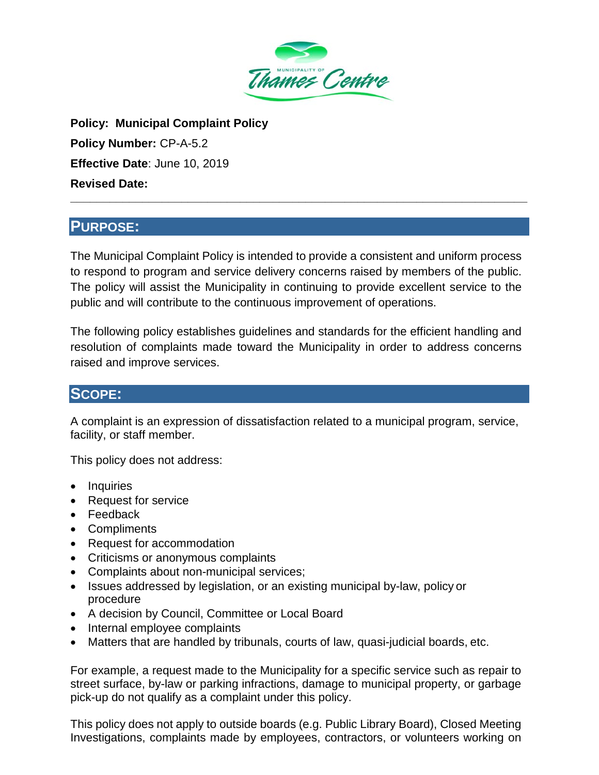

**Policy: Municipal Complaint Policy Policy Number:** CP-A-5.2 **Effective Date**: June 10, 2019 **Revised Date:**

# **PURPOSE:**

The Municipal Complaint Policy is intended to provide a consistent and uniform process to respond to program and service delivery concerns raised by members of the public. The policy will assist the Municipality in continuing to provide excellent service to the public and will contribute to the continuous improvement of operations.

**\_\_\_\_\_\_\_\_\_\_\_\_\_\_\_\_\_\_\_\_\_\_\_\_\_\_\_\_\_\_\_\_\_\_\_\_\_\_\_\_\_\_\_\_\_\_\_\_\_\_\_\_\_\_\_\_\_\_\_\_\_\_\_\_\_\_\_\_\_\_**

The following policy establishes guidelines and standards for the efficient handling and resolution of complaints made toward the Municipality in order to address concerns raised and improve services.

# **SCOPE:**

A complaint is an expression of dissatisfaction related to a municipal program, service, facility, or staff member.

This policy does not address:

- Inquiries
- Request for service
- Feedback
- Compliments
- Request for accommodation
- Criticisms or anonymous complaints
- Complaints about non-municipal services;
- Issues addressed by legislation, or an existing municipal by-law, policy or procedure
- A decision by Council, Committee or Local Board
- Internal employee complaints
- Matters that are handled by tribunals, courts of law, quasi-judicial boards, etc.

For example, a request made to the Municipality for a specific service such as repair to street surface, by-law or parking infractions, damage to municipal property, or garbage pick-up do not qualify as a complaint under this policy.

This policy does not apply to outside boards (e.g. Public Library Board), Closed Meeting Investigations, complaints made by employees, contractors, or volunteers working on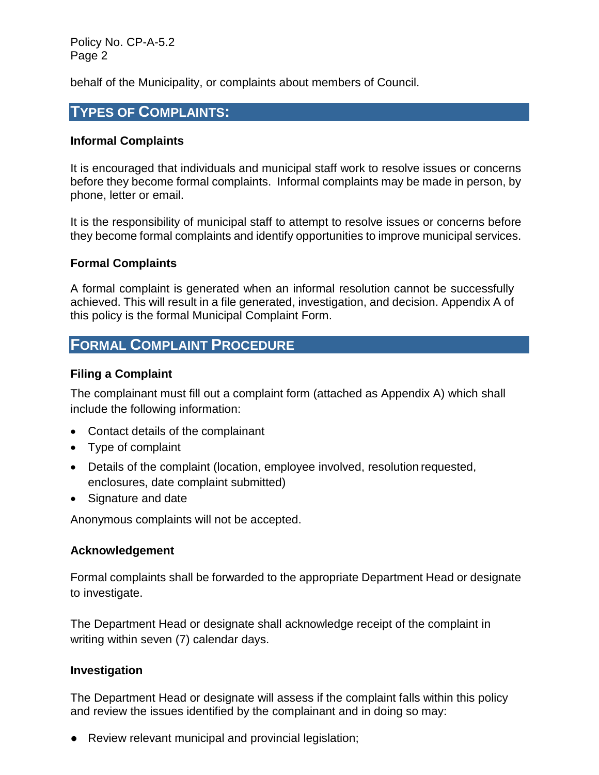Policy No. CP-A-5.2 Page 2

behalf of the Municipality, or complaints about members of Council.

### **TYPES OF COMPLAINTS:**

#### **Informal Complaints**

It is encouraged that individuals and municipal staff work to resolve issues or concerns before they become formal complaints. Informal complaints may be made in person, by phone, letter or email.

It is the responsibility of municipal staff to attempt to resolve issues or concerns before they become formal complaints and identify opportunities to improve municipal services.

#### **Formal Complaints**

A formal complaint is generated when an informal resolution cannot be successfully achieved. This will result in a file generated, investigation, and decision. Appendix A of this policy is the formal Municipal Complaint Form.

### **FORMAL COMPLAINT PROCEDURE**

#### **Filing a Complaint**

The complainant must fill out a complaint form (attached as Appendix A) which shall include the following information:

- Contact details of the complainant
- Type of complaint
- Details of the complaint (location, employee involved, resolution requested, enclosures, date complaint submitted)
- Signature and date

Anonymous complaints will not be accepted.

#### **Acknowledgement**

Formal complaints shall be forwarded to the appropriate Department Head or designate to investigate.

The Department Head or designate shall acknowledge receipt of the complaint in writing within seven (7) calendar days.

#### **Investigation**

The Department Head or designate will assess if the complaint falls within this policy and review the issues identified by the complainant and in doing so may:

● Review relevant municipal and provincial legislation;